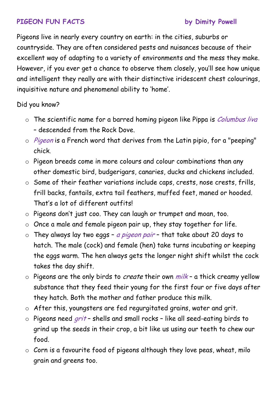## **PIGEON FUN FACTS by Dimity Powell**

Pigeons live in nearly every country on earth: in the cities, suburbs or countryside. They are often considered pests and nuisances because of their excellent way of adapting to a variety of environments and the mess they make. However, if you ever get a chance to observe them closely, you'll see how unique and intelligent they really are with their distinctive iridescent chest colourings, inquisitive nature and phenomenal ability to 'home'.

Did you know?

- $\circ$  The scientific name for a barred homing pigeon like Pippa is *Columbus liva* – descended from the Rock Dove.
- $\circ$  *Pigeon* is a French word that derives from the Latin pipio, for a "peeping" chick.
- o Pigeon breeds come in more colours and colour combinations than any other domestic bird, budgerigars, canaries, ducks and chickens included.
- o Some of their feather variations include caps, crests, nose crests, frills, frill backs, fantails, extra tail feathers, muffed feet, maned or hooded. That's a lot of different outfits!
- o Pigeons don't just coo. They can laugh or trumpet and moan, too.
- o Once a male and female pigeon pair up, they stay together for life.
- $\circ$  They always lay two eggs a pigeon pair that take about 20 days to hatch. The male (cock) and female (hen) take turns incubating or keeping the eggs warm. The hen always gets the longer night shift whilst the cock takes the day shift.
- $\circ$  Pigeons are the only birds to *create* their own  $milk$  a thick creamy yellow substance that they feed their young for the first four or five days after they hatch. Both the mother and father produce this milk.
- o After this, youngsters are fed regurgitated grains, water and grit.
- $\circ$  Pigeons need *grit* shells and small rocks like all seed-eating birds to grind up the seeds in their crop, a bit like us using our teeth to chew our food.
- $\circ$  Corn is a favourite food of pigeons although they love peas, wheat, milo grain and greens too.